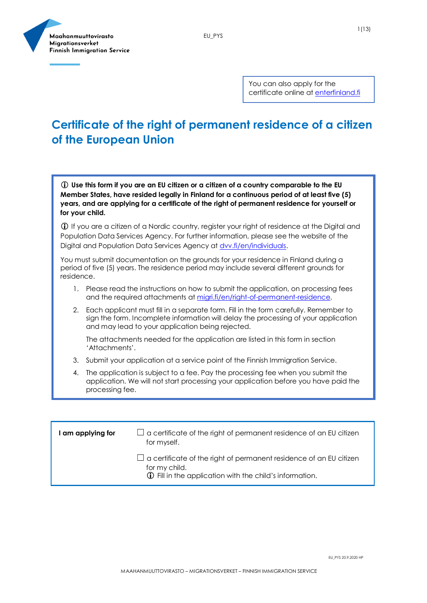



You can also apply for the certificate online at [enterfinland.fi](https://enterfinland.fi/eServices/)

# **Certificate of the right of permanent residence of a citizen of the European Union**

 **Use this form if you are an EU citizen or a citizen of a country comparable to the EU Member States, have resided legally in Finland for a continuous period of at least five (5) years, and are applying for a certificate of the right of permanent residence for yourself or for your child.**

 If you are a citizen of a Nordic country, register your right of residence at the Digital and Population Data Services Agency. For further information, please see the website of the Digital and Population Data Services Agency at **dvv.fi/en/individuals.** 

You must submit documentation on the grounds for your residence in Finland during a period of five (5) years. The residence period may include several different grounds for residence.

- 1. Please read the instructions on how to submit the application, on processing fees and the required attachments a[t migri.fi/en/right-of-permanent-residence.](https://migri.fi/en/right-of-permanent-residence)
- 2. Each applicant must fill in a separate form. Fill in the form carefully. Remember to sign the form. Incomplete information will delay the processing of your application and may lead to your application being rejected.

The attachments needed for the application are listed in this form in section 'Attachments'.

- 3. Submit your application at a service point of the Finnish Immigration Service.
- 4. The application is subject to a fee. Pay the processing fee when you submit the application. We will not start processing your application before you have paid the processing fee.

| am applying for | $\Box$ a certificate of the right of permanent residence of an EU citizen<br>for myself.                                                                     |
|-----------------|--------------------------------------------------------------------------------------------------------------------------------------------------------------|
|                 | $\Box$ a certificate of the right of permanent residence of an EU citizen<br>for my child.<br><b>1</b> Fill in the application with the child's information. |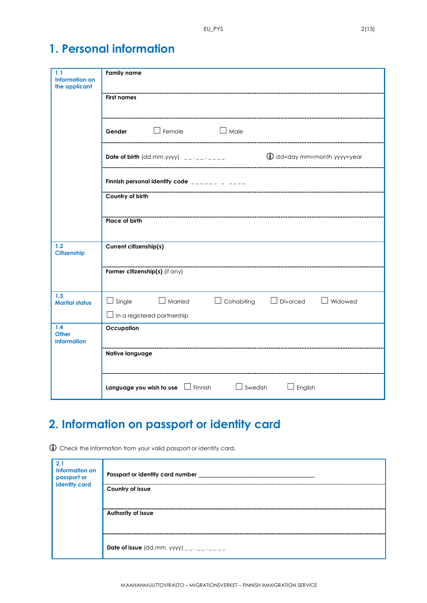# **1. Personal information**

| 1.1<br><b>Information on</b><br>the applicant | <b>Family name</b>                                                                                                              |
|-----------------------------------------------|---------------------------------------------------------------------------------------------------------------------------------|
|                                               | <b>First names</b>                                                                                                              |
|                                               | Gender Female<br>$\Box$ Male                                                                                                    |
|                                               | $\bigcirc$ dd=day mm=month yyyy=year<br>Date of birth $(dd.mm.yyyy)$ _________                                                  |
|                                               | Finnish personal identity code $\frac{1}{2}$ = $\frac{1}{2}$ = $\frac{1}{2}$ = $\frac{1}{2}$ = $\frac{1}{2}$                    |
|                                               | Country of birth                                                                                                                |
|                                               | <b>Place of birth</b>                                                                                                           |
| 1.2<br>Citizenship                            | Current citizenship(s)                                                                                                          |
|                                               | Former citizenship(s) (if any)                                                                                                  |
| 1.3<br><b>Marital status</b>                  | $\Box$ Cohabiting<br>$\Box$ Single<br>$\Box$ Married<br>$\Box$ Widowed<br>$\Box$ Divorced<br>$\Box$ In a registered partnership |
| 1.4<br><b>Other</b><br><b>information</b>     | Occupation                                                                                                                      |
|                                               | Native language                                                                                                                 |
|                                               |                                                                                                                                 |
|                                               | <b>Language you wish to use</b> $\Box$ Finnish $\Box$ Swedish<br>$\Box$ English                                                 |

# **2. Information on passport or identity card**

Check the information from your valid passport or identity card,

| 2.1<br><b>Information on</b><br>passport or<br>identity card | Passport or identity card number          |
|--------------------------------------------------------------|-------------------------------------------|
|                                                              | Country of issue<br>Authority of issue    |
|                                                              |                                           |
|                                                              | Date of issue (dd.mm. yyyy) $\frac{1}{2}$ |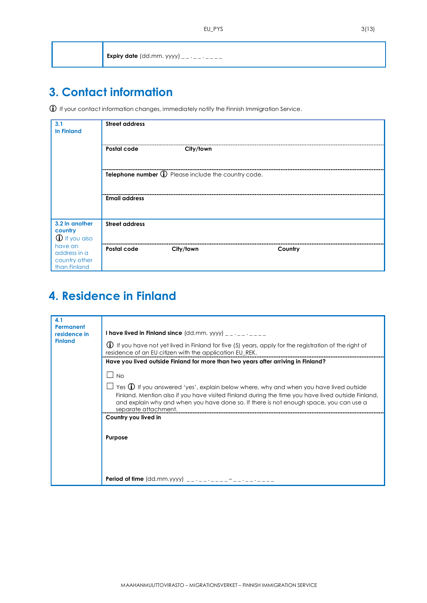| <b>Expiry date</b> (dd.mm. yyyy) __ . _ _ . _ _ _ |
|---------------------------------------------------|
|---------------------------------------------------|

## **3. Contact information**

If your contact information changes, immediately notify the Finnish Immigration Service.

| 3.1<br><b>In Finland</b>                                 | <b>Street address</b> |                                                     |         |  |
|----------------------------------------------------------|-----------------------|-----------------------------------------------------|---------|--|
|                                                          | Postal code           | City/town                                           |         |  |
|                                                          |                       | Telephone number 1 Please include the country code. |         |  |
|                                                          | <b>Email address</b>  |                                                     |         |  |
| 3.2 In another<br>country<br><b>1</b> If you also        | <b>Street address</b> |                                                     |         |  |
| have an<br>address in a<br>country other<br>than Finland | Postal code           | City/town                                           | Country |  |

### **4. Residence in Finland**

| 4.1<br>Permanent<br>residence in<br><b>Finland</b> | <b>I have lived in Finland since</b> $(dd.mm.$ yyyy) __ . _ _ . _ _ _                                                                                                                                                                                                                                                  |
|----------------------------------------------------|------------------------------------------------------------------------------------------------------------------------------------------------------------------------------------------------------------------------------------------------------------------------------------------------------------------------|
|                                                    | <b>(i)</b> If you have not yet lived in Finland for five (5) years, apply for the registration of the right of<br>residence of an EU citizen with the application EU_REK.                                                                                                                                              |
|                                                    | Have you lived outside Finland for more than two years after arriving in Finland?                                                                                                                                                                                                                                      |
|                                                    | $\blacksquare$<br><b>No</b>                                                                                                                                                                                                                                                                                            |
|                                                    | Yes $\bigoplus$ If you answered 'yes', explain below where, why and when you have lived outside<br>Finland. Mention also if you have visited Finland during the time you have lived outside Finland,<br>and explain why and when you have done so. If there is not enough space, you can use a<br>separate attachment. |
|                                                    | Country you lived in                                                                                                                                                                                                                                                                                                   |
|                                                    | Purpose                                                                                                                                                                                                                                                                                                                |
|                                                    |                                                                                                                                                                                                                                                                                                                        |
|                                                    |                                                                                                                                                                                                                                                                                                                        |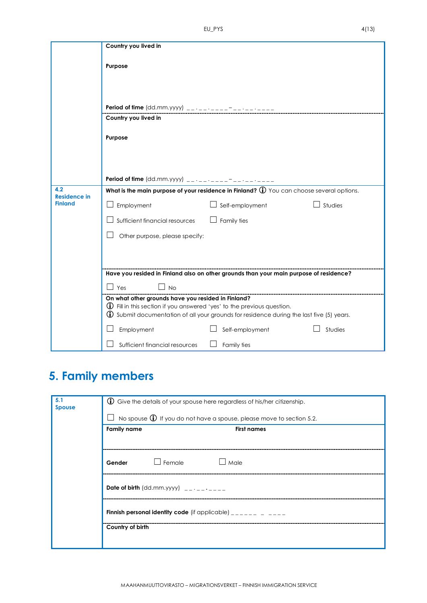|                                              | Country you lived in                                                                                                                                                                                                                        |
|----------------------------------------------|---------------------------------------------------------------------------------------------------------------------------------------------------------------------------------------------------------------------------------------------|
|                                              | Purpose                                                                                                                                                                                                                                     |
|                                              | Period of time $(dd.mm.yyyy)$ __ __ _ _                                                                                                                                                                                                     |
|                                              | Country you lived in                                                                                                                                                                                                                        |
|                                              | Purpose                                                                                                                                                                                                                                     |
|                                              |                                                                                                                                                                                                                                             |
| 4.2<br><b>Residence in</b><br><b>Finland</b> | What is the main purpose of your residence in Finland? $\bigoplus$ You can choose several options.<br>Studies<br>Employment<br>Self-employment<br>Sufficient financial resources<br>Family ties<br>Other purpose, please specify:           |
|                                              | Have you resided in Finland also on other grounds than your main purpose of residence?                                                                                                                                                      |
|                                              | l Yes<br>No                                                                                                                                                                                                                                 |
|                                              | On what other grounds have you resided in Finland?<br>$\bigoplus$ Fill in this section if you answered 'yes' to the previous question.<br><b>(i)</b> Submit documentation of all your grounds for residence during the last five (5) years. |
|                                              | Studies<br>Employment<br>Self-employment                                                                                                                                                                                                    |
|                                              | Sufficient financial resources<br>Family ties                                                                                                                                                                                               |

# **5. Family members**

| 5.1<br><b>Spouse</b> | $\bigcirc$ Give the details of your spouse here regardless of his/her citizenship. |  |  |
|----------------------|------------------------------------------------------------------------------------|--|--|
|                      | No spouse $\bigoplus$ If you do not have a spouse, please move to section 5.2.     |  |  |
|                      | <b>Family name</b><br><b>First names</b>                                           |  |  |
|                      |                                                                                    |  |  |
|                      | Female<br>Male<br>Gender                                                           |  |  |
|                      | Date of birth $(dd.mm.yyyy)$ ________                                              |  |  |
|                      | <b>Finnish personal identity code</b> (if applicable) $\frac{1}{2}$                |  |  |
|                      | Country of birth                                                                   |  |  |
|                      |                                                                                    |  |  |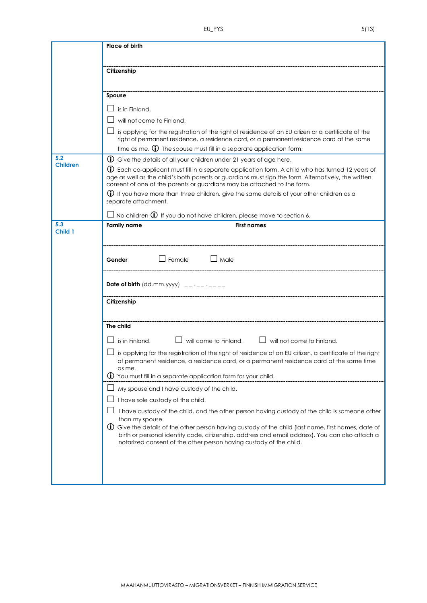|                        | Place of birth                                                                                                                                                                                                                                                                                    |  |  |
|------------------------|---------------------------------------------------------------------------------------------------------------------------------------------------------------------------------------------------------------------------------------------------------------------------------------------------|--|--|
|                        |                                                                                                                                                                                                                                                                                                   |  |  |
|                        | Citizenship                                                                                                                                                                                                                                                                                       |  |  |
|                        |                                                                                                                                                                                                                                                                                                   |  |  |
|                        | Spouse                                                                                                                                                                                                                                                                                            |  |  |
|                        | is in Finland.                                                                                                                                                                                                                                                                                    |  |  |
|                        | will not come to Finland.                                                                                                                                                                                                                                                                         |  |  |
|                        | is applying for the registration of the right of residence of an EU citizen or a certificate of the<br>right of permanent residence, a residence card, or a permanent residence card at the same                                                                                                  |  |  |
|                        | time as me. $\bigoplus$ The spouse must fill in a separate application form.                                                                                                                                                                                                                      |  |  |
| 5.2<br><b>Children</b> | $\bigcirc$ Give the details of all your children under 21 years of age here.                                                                                                                                                                                                                      |  |  |
|                        | <b>(i)</b> Each co-applicant must fill in a separate application form. A child who has turned 12 years of<br>age as well as the child's both parents or guardians must sign the form. Alternatively, the written<br>consent of one of the parents or guardians may be attached to the form.       |  |  |
|                        | <b>1</b> If you have more than three children, give the same details of your other children as a<br>separate attachment.                                                                                                                                                                          |  |  |
|                        | $\exists$ No children $\bf \Phi$ If you do not have children, please move to section 6.                                                                                                                                                                                                           |  |  |
| 5.3<br>Child 1         | <b>Family name</b><br><b>First names</b>                                                                                                                                                                                                                                                          |  |  |
|                        | $\Box$ Male<br>$\Box$ Female<br>Gender                                                                                                                                                                                                                                                            |  |  |
|                        | Date of birth $(dd.mm.yyyy)$ __ .__ .____                                                                                                                                                                                                                                                         |  |  |
|                        | Citizenship                                                                                                                                                                                                                                                                                       |  |  |
|                        | The child                                                                                                                                                                                                                                                                                         |  |  |
|                        | $\Box$ will come to Finland. $\Box$ will not come to Finland.<br>is in Finland.                                                                                                                                                                                                                   |  |  |
|                        | is applying for the registration of the right of residence of an EU citizen, a certificate of the right<br>of permanent residence, a residence card, or a permanent residence card at the same time<br>as me.                                                                                     |  |  |
|                        | $\bigcirc$ You must fill in a separate application form for your child.                                                                                                                                                                                                                           |  |  |
|                        | My spouse and I have custody of the child.                                                                                                                                                                                                                                                        |  |  |
|                        | I have sole custody of the child.                                                                                                                                                                                                                                                                 |  |  |
|                        | I have custody of the child, and the other person having custody of the child is someone other                                                                                                                                                                                                    |  |  |
|                        | than my spouse.<br>(i) Give the details of the other person having custody of the child (last name, first names, date of<br>birth or personal identity code, citizenship, address and email address). You can also attach a<br>notarized consent of the other person having custody of the child. |  |  |
|                        |                                                                                                                                                                                                                                                                                                   |  |  |
|                        |                                                                                                                                                                                                                                                                                                   |  |  |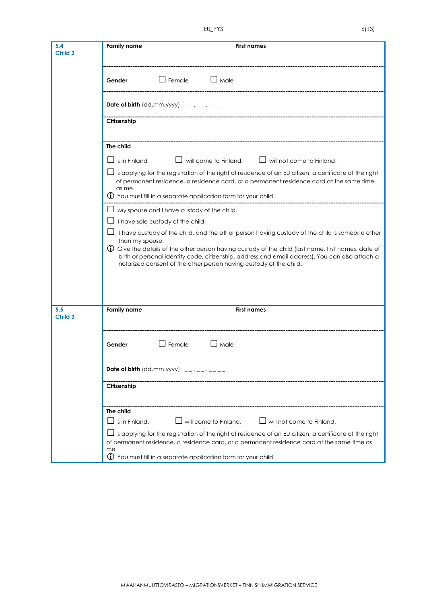| 5.4<br>Child 2 | <b>Family name</b><br><b>First names</b>                                                                                                                                                                                                                                                        |  |  |
|----------------|-------------------------------------------------------------------------------------------------------------------------------------------------------------------------------------------------------------------------------------------------------------------------------------------------|--|--|
|                | $\Box$ Female<br>$\Box$ Male<br>Gender                                                                                                                                                                                                                                                          |  |  |
|                | Date of birth (dd.mm.yyyy) $\quad$ __ $\cdot$ _ $\cdot$ _ _ _ _ _                                                                                                                                                                                                                               |  |  |
|                | Citizenship                                                                                                                                                                                                                                                                                     |  |  |
|                | The child                                                                                                                                                                                                                                                                                       |  |  |
|                | is in Finland<br>will come to Finland. $\Box$ will not come to Finland.                                                                                                                                                                                                                         |  |  |
|                | $\Box$ is applying for the registration of the right of residence of an EU citizen, a certificate of the right<br>of permanent residence, a residence card, or a permanent residence card at the same time<br>as me.<br>$\bigcirc$ You must fill in a separate application form for your child. |  |  |
|                |                                                                                                                                                                                                                                                                                                 |  |  |
|                | My spouse and I have custody of the child.                                                                                                                                                                                                                                                      |  |  |
|                | I have sole custody of the child.                                                                                                                                                                                                                                                               |  |  |
|                | I have custody of the child, and the other person having custody of the child is someone other<br>than my spouse.                                                                                                                                                                               |  |  |
|                | (i) Give the details of the other person having custody of the child (last name, first names, date of<br>birth or personal identity code, citizenship, address and email address). You can also attach a<br>notarized consent of the other person having custody of the child.                  |  |  |
|                |                                                                                                                                                                                                                                                                                                 |  |  |
| 5.5<br>Child 3 | <b>Family name</b><br><b>First names</b>                                                                                                                                                                                                                                                        |  |  |
|                | $\Box$ Male<br>$\Box$ Female<br>Gender                                                                                                                                                                                                                                                          |  |  |
|                |                                                                                                                                                                                                                                                                                                 |  |  |
|                | Citizenship                                                                                                                                                                                                                                                                                     |  |  |
|                | The child                                                                                                                                                                                                                                                                                       |  |  |
|                | will come to Finland.<br>$\Box$ will not come to Finland.<br>is in Finland.                                                                                                                                                                                                                     |  |  |
|                | is applying for the registration of the right of residence of an EU citizen, a certificate of the right<br>of permanent residence, a residence card, or a permanent residence card at the same time as<br>me.                                                                                   |  |  |
|                | $\bigoplus$ You must fill in a separate application form for your child.                                                                                                                                                                                                                        |  |  |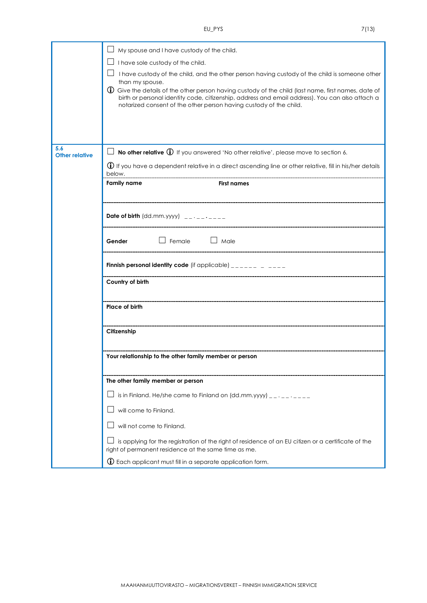| × |  |  |
|---|--|--|

|                                     | My spouse and I have custody of the child.                                                                                                                                                                                                                                                        |  |
|-------------------------------------|---------------------------------------------------------------------------------------------------------------------------------------------------------------------------------------------------------------------------------------------------------------------------------------------------|--|
|                                     | I have sole custody of the child.                                                                                                                                                                                                                                                                 |  |
|                                     | I have custody of the child, and the other person having custody of the child is someone other<br>$\Box$                                                                                                                                                                                          |  |
|                                     | than my spouse.<br>(i) Give the details of the other person having custody of the child (last name, first names, date of<br>birth or personal identity code, citizenship, address and email address). You can also attach a<br>notarized consent of the other person having custody of the child. |  |
| 5.6                                 | <b>No other relative <math>\mathbf{D}</math></b> If you answered 'No other relative', please move to section 6.                                                                                                                                                                                   |  |
| <b>Other relative</b>               |                                                                                                                                                                                                                                                                                                   |  |
|                                     | (j) If you have a dependent relative in a direct ascending line or other relative, fill in his/her details<br>below.                                                                                                                                                                              |  |
|                                     | <b>Family name</b><br><b>First names</b>                                                                                                                                                                                                                                                          |  |
|                                     |                                                                                                                                                                                                                                                                                                   |  |
|                                     | <b>Date of birth</b> (dd.mm.yyyy) $\qquad \qquad - \qquad - \qquad - \qquad -$                                                                                                                                                                                                                    |  |
| $\Box$ Female $\Box$ Male<br>Gender |                                                                                                                                                                                                                                                                                                   |  |
|                                     | <b>Finnish personal identity code</b> (if applicable) $\frac{1}{2}$                                                                                                                                                                                                                               |  |
|                                     | Country of birth                                                                                                                                                                                                                                                                                  |  |
|                                     | Place of birth                                                                                                                                                                                                                                                                                    |  |
|                                     | Citizenship                                                                                                                                                                                                                                                                                       |  |
|                                     | Your relationship to the other family member or person                                                                                                                                                                                                                                            |  |
|                                     | The other family member or person                                                                                                                                                                                                                                                                 |  |
|                                     | is in Finland. He/she came to Finland on $(dd.mm.yyy)$ __ .__ .____                                                                                                                                                                                                                               |  |
|                                     | will come to Finland.                                                                                                                                                                                                                                                                             |  |
|                                     | will not come to Finland.                                                                                                                                                                                                                                                                         |  |
|                                     | is applying for the registration of the right of residence of an EU citizen or a certificate of the<br>right of permanent residence at the same time as me.                                                                                                                                       |  |
|                                     | $\mathbb O$ Each applicant must fill in a separate application form.                                                                                                                                                                                                                              |  |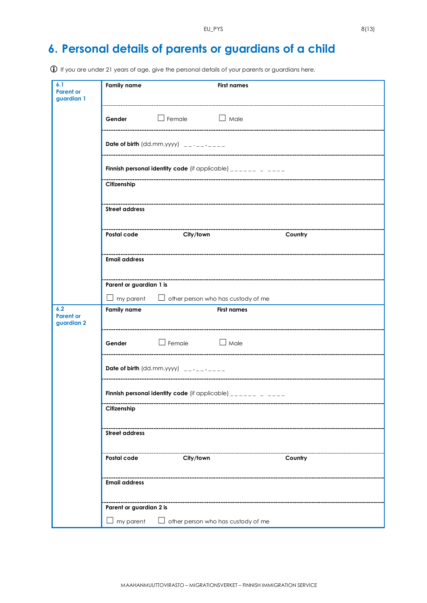### **6. Personal details of parents or guardians of a child**

If you are under 21 years of age, give the personal details of your parents or guardians here.

| 6.1<br><b>Parent or</b><br>guardian 1 | <b>Family name</b>                                                                                                           |                                                              | <b>First names</b> |         |
|---------------------------------------|------------------------------------------------------------------------------------------------------------------------------|--------------------------------------------------------------|--------------------|---------|
|                                       | Gender                                                                                                                       | $\Box$ Female                                                | $\Box$ Male        |         |
|                                       |                                                                                                                              | Date of birth (dd.mm.yyyy) $\frac{1}{2}$ - - - - - - - - - - |                    |         |
|                                       |                                                                                                                              |                                                              |                    |         |
|                                       | Finnish personal identity code (if applicable) $\frac{1}{2}$ = $\frac{1}{2}$ = $\frac{1}{2}$ = $\frac{1}{2}$ = $\frac{1}{2}$ |                                                              |                    |         |
|                                       | Citizenship                                                                                                                  |                                                              |                    |         |
|                                       | <b>Street address</b>                                                                                                        |                                                              |                    |         |
|                                       | Postal code                                                                                                                  | ----------------------------<br>City/town                    |                    | Country |
|                                       | <b>Email address</b>                                                                                                         |                                                              |                    |         |
|                                       | Parent or guardian 1 is                                                                                                      |                                                              |                    |         |
|                                       |                                                                                                                              | $\Box$ my parent $\Box$ other person who has custody of me   |                    |         |
| 6.2<br><b>Parent or</b><br>guardian 2 | <b>Family name</b><br><b>First names</b>                                                                                     |                                                              |                    |         |
|                                       | Gender                                                                                                                       | $\Box$ Female $\Box$ Male                                    |                    |         |
|                                       |                                                                                                                              |                                                              |                    |         |
|                                       | Finnish personal identity code (if applicable) $\frac{1}{2}$ = $\frac{1}{2}$ = $\frac{1}{2}$ = $\frac{1}{2}$ = $\frac{1}{2}$ |                                                              |                    |         |
| Citizenship                           |                                                                                                                              |                                                              |                    |         |
| <b>Street address</b>                 |                                                                                                                              |                                                              |                    |         |
|                                       | Postal code                                                                                                                  | City/town                                                    |                    | Country |
|                                       | <b>Email address</b>                                                                                                         |                                                              |                    |         |
|                                       | Parent or guardian 2 is                                                                                                      |                                                              |                    |         |
|                                       | my parent<br>other person who has custody of me                                                                              |                                                              |                    |         |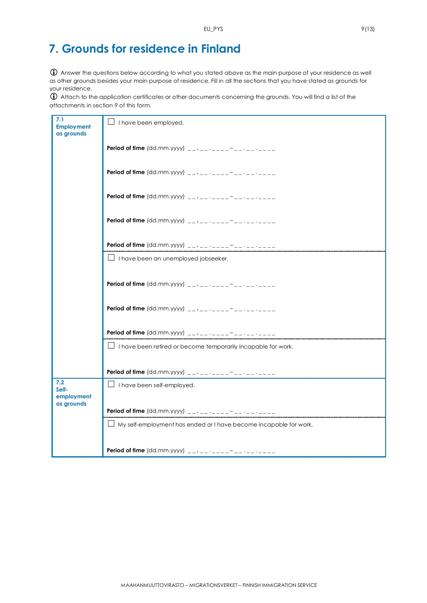# **7. Grounds for residence in Finland**

 Answer the questions below according to what you stated above as the main purpose of your residence as well as other grounds besides your main purpose of residence. Fill in all the sections that you have stated as grounds for your residence.

 Attach to the application certificates or other documents concerning the grounds. You will find a list of the attachments in section 9 of this form.

| 7.1<br><b>Employment</b><br>as grounds   | $\Box$ I have been employed.                                             |
|------------------------------------------|--------------------------------------------------------------------------|
|                                          |                                                                          |
|                                          |                                                                          |
|                                          |                                                                          |
|                                          |                                                                          |
|                                          | <b>Period of time</b> $(dd.mm.yyyy)$ ___________                         |
|                                          | $\Box$ I have been an unemployed jobseeker.                              |
|                                          |                                                                          |
|                                          |                                                                          |
|                                          | <b>Period of time</b> (dd.mm.yyyy) __ . _ _ _ _ _ _ _ _ _ _ _ _ _ _      |
|                                          | $\Box$ I have been retired or become temporarily incapable for work.     |
|                                          | <b>Period of time</b> (dd.mm.yyyy) $- - - - - - - - - - - - - - -$       |
| 7.2<br>Self-<br>employment<br>as grounds | $\Box$ I have been self-employed.                                        |
|                                          | <b>Period of time</b> (dd.mm.yyyy) $\frac{1}{2}$ $\cdots$ $\frac{1}{2}$  |
|                                          | $\Box$ My self-employment has ended or I have become incapable for work. |
|                                          |                                                                          |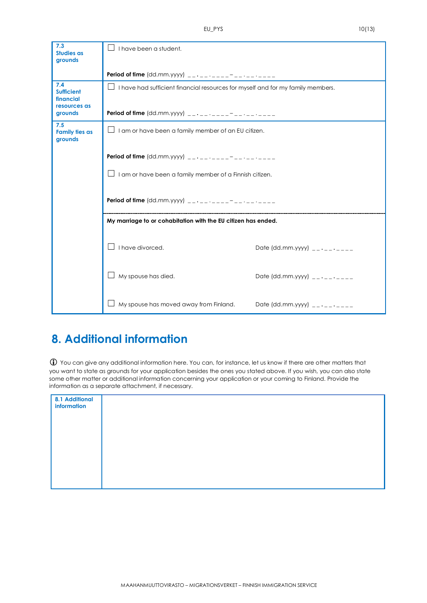| 7.3                              |                                                                                           |                                         |  |
|----------------------------------|-------------------------------------------------------------------------------------------|-----------------------------------------|--|
| <b>Studies as</b>                | I have been a student.                                                                    |                                         |  |
| grounds                          |                                                                                           |                                         |  |
|                                  |                                                                                           |                                         |  |
|                                  |                                                                                           |                                         |  |
| 7.4<br><b>Sufficient</b>         | $\Box$<br>I have had sufficient financial resources for myself and for my family members. |                                         |  |
| financial                        |                                                                                           |                                         |  |
| resources as                     |                                                                                           |                                         |  |
| grounds                          |                                                                                           |                                         |  |
| 7.5                              |                                                                                           |                                         |  |
| <b>Family ties as</b><br>grounds | I am or have been a family member of an EU citizen.<br>$\Box$                             |                                         |  |
|                                  |                                                                                           |                                         |  |
|                                  |                                                                                           |                                         |  |
|                                  |                                                                                           |                                         |  |
|                                  | I am or have been a family member of a Finnish citizen.                                   |                                         |  |
|                                  |                                                                                           |                                         |  |
|                                  |                                                                                           |                                         |  |
|                                  |                                                                                           |                                         |  |
|                                  |                                                                                           |                                         |  |
|                                  | My marriage to or cohabitation with the EU citizen has ended.                             |                                         |  |
|                                  |                                                                                           |                                         |  |
|                                  |                                                                                           |                                         |  |
|                                  | I have divorced.                                                                          | Date (dd.mm.yyyy) $\frac{1}{2}$         |  |
|                                  |                                                                                           |                                         |  |
|                                  |                                                                                           |                                         |  |
|                                  | My spouse has died.                                                                       | Date (dd.mm.yyyy) $-$ - $-$ - $-$ - $-$ |  |
|                                  |                                                                                           |                                         |  |
|                                  |                                                                                           |                                         |  |
|                                  | My spouse has moved away from Finland.                                                    | Date (dd.mm.yyyy) $-$ - $-$ - $-$ - $-$ |  |
|                                  |                                                                                           |                                         |  |

#### **8. Additional information**

 $\bf \hat{U}$  You can give any additional information here. You can, for instance, let us know if there are other matters that you want to state as grounds for your application besides the ones you stated above. If you wish, you can also state some other matter or additional information concerning your application or your coming to Finland. Provide the information as a separate attachment, if necessary.

| 8.1 Additional<br>information |  |
|-------------------------------|--|
|                               |  |
|                               |  |
|                               |  |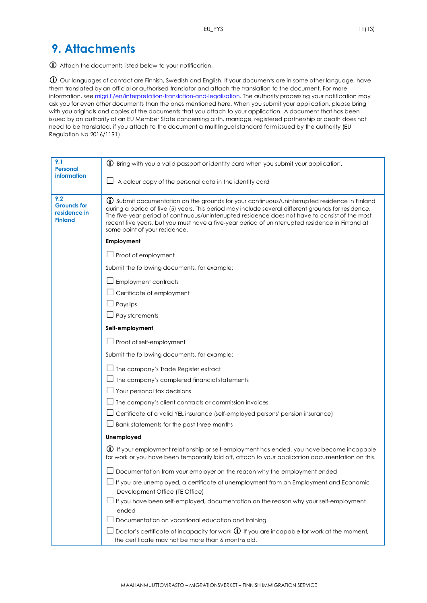#### **9. Attachments**

Attach the documents listed below to your notification.

 Our languages of contact are Finnish, Swedish and English. If your documents are in some other language, have them translated by an official or authorised translator and attach the translation to the document. For more information, se[e migri.fi/en/interpretation-translation-and-legalisation.](https://migri.fi/en/interpretation-translation-and-legalisation) The authority processing your notification may ask you for even other documents than the ones mentioned here. When you submit your application, please bring with you originals and copies of the documents that you attach to your application. A document that has been issued by an authority of an EU Member State concerning birth, marriage, registered partnership or death does not need to be translated, if you attach to the document a multilingual standard form issued by the authority (EU Regulation No 2016/1191).

| 9.1<br><b>Personal</b>                                      | $\bigoplus$ Bring with you a valid passport or identity card when you submit your application.                                                                                                                                                                                                                                                                                                                                                       |  |
|-------------------------------------------------------------|------------------------------------------------------------------------------------------------------------------------------------------------------------------------------------------------------------------------------------------------------------------------------------------------------------------------------------------------------------------------------------------------------------------------------------------------------|--|
| information                                                 | A colour copy of the personal data in the identity card                                                                                                                                                                                                                                                                                                                                                                                              |  |
|                                                             |                                                                                                                                                                                                                                                                                                                                                                                                                                                      |  |
| 9.2<br><b>Grounds for</b><br>residence in<br><b>Finland</b> | <b>(i)</b> Submit documentation on the grounds for your continuous/uninterrupted residence in Finland<br>during a period of five (5) years. This period may include several different grounds for residence.<br>The five-year period of continuous/uninterrupted residence does not have to consist of the most<br>recent five years, but you must have a five-year period of uninterrupted residence in Finland at<br>some point of your residence. |  |
|                                                             | Employment                                                                                                                                                                                                                                                                                                                                                                                                                                           |  |
|                                                             | $\Box$ Proof of employment                                                                                                                                                                                                                                                                                                                                                                                                                           |  |
|                                                             | Submit the following documents, for example:                                                                                                                                                                                                                                                                                                                                                                                                         |  |
|                                                             | <b>Employment contracts</b>                                                                                                                                                                                                                                                                                                                                                                                                                          |  |
|                                                             | Certificate of employment                                                                                                                                                                                                                                                                                                                                                                                                                            |  |
|                                                             | Payslips                                                                                                                                                                                                                                                                                                                                                                                                                                             |  |
|                                                             | $\Box$ Pay statements                                                                                                                                                                                                                                                                                                                                                                                                                                |  |
|                                                             | Self-employment                                                                                                                                                                                                                                                                                                                                                                                                                                      |  |
|                                                             | $\Box$ Proof of self-employment                                                                                                                                                                                                                                                                                                                                                                                                                      |  |
|                                                             | Submit the following documents, for example:                                                                                                                                                                                                                                                                                                                                                                                                         |  |
|                                                             | $\perp$ The company's Trade Register extract                                                                                                                                                                                                                                                                                                                                                                                                         |  |
|                                                             | $\perp$ The company's completed financial statements                                                                                                                                                                                                                                                                                                                                                                                                 |  |
|                                                             | Your personal tax decisions                                                                                                                                                                                                                                                                                                                                                                                                                          |  |
|                                                             | The company's client contracts or commission invoices                                                                                                                                                                                                                                                                                                                                                                                                |  |
|                                                             | Certificate of a valid YEL insurance (self-employed persons' pension insurance)                                                                                                                                                                                                                                                                                                                                                                      |  |
|                                                             | $\perp$ Bank statements for the past three months                                                                                                                                                                                                                                                                                                                                                                                                    |  |
|                                                             | Unemployed                                                                                                                                                                                                                                                                                                                                                                                                                                           |  |
|                                                             | (i) If your employment relationship or self-employment has ended, you have become incapable<br>for work or you have been temporarily laid off, attach to your application documentation on this.                                                                                                                                                                                                                                                     |  |
|                                                             | Documentation from your employer on the reason why the employment ended                                                                                                                                                                                                                                                                                                                                                                              |  |
|                                                             | If you are unemployed, a certificate of unemployment from an Employment and Economic<br>Development Office (TE Office)                                                                                                                                                                                                                                                                                                                               |  |
|                                                             | If you have been self-employed, documentation on the reason why your self-employment<br>ended                                                                                                                                                                                                                                                                                                                                                        |  |
|                                                             | Documentation on vocational education and training                                                                                                                                                                                                                                                                                                                                                                                                   |  |
|                                                             | Doctor's certificate of incapacity for work $\mathbf{\hat{U}}$ If you are incapable for work at the moment,<br>the certificate may not be more than 6 months old.                                                                                                                                                                                                                                                                                    |  |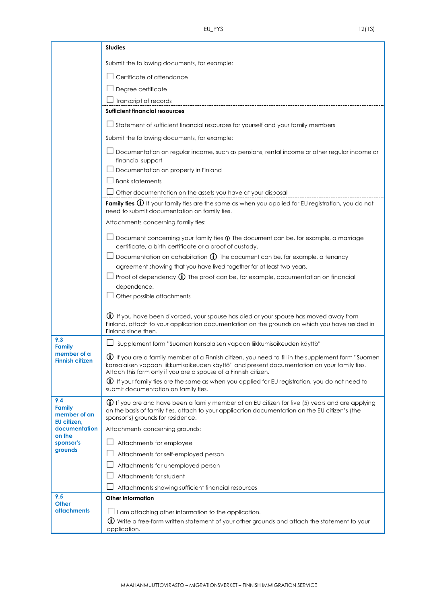|                                                        | <b>Studies</b>                                                                                                                                                                                                                                                                 |  |  |
|--------------------------------------------------------|--------------------------------------------------------------------------------------------------------------------------------------------------------------------------------------------------------------------------------------------------------------------------------|--|--|
|                                                        | Submit the following documents, for example:                                                                                                                                                                                                                                   |  |  |
|                                                        | Certificate of attendance                                                                                                                                                                                                                                                      |  |  |
|                                                        | $\Box$ Degree certificate                                                                                                                                                                                                                                                      |  |  |
|                                                        | Transcript of records                                                                                                                                                                                                                                                          |  |  |
|                                                        | <b>Sufficient financial resources</b>                                                                                                                                                                                                                                          |  |  |
|                                                        | $\perp$ Statement of sufficient financial resources for yourself and your family members                                                                                                                                                                                       |  |  |
|                                                        | Submit the following documents, for example:                                                                                                                                                                                                                                   |  |  |
|                                                        | $\perp$ Documentation on regular income, such as pensions, rental income or other regular income or<br>financial support                                                                                                                                                       |  |  |
|                                                        | Documentation on property in Finland                                                                                                                                                                                                                                           |  |  |
|                                                        | $\sqcup$ Bank statements                                                                                                                                                                                                                                                       |  |  |
|                                                        | Other documentation on the assets you have at your disposal                                                                                                                                                                                                                    |  |  |
|                                                        | Family ties $\bigoplus$ If your family ties are the same as when you applied for EU registration, you do not<br>need to submit documentation on family ties.                                                                                                                   |  |  |
|                                                        | Attachments concerning family ties:                                                                                                                                                                                                                                            |  |  |
|                                                        | $\perp$ Document concerning your family ties $\oplus$ The document can be, for example, a marriage<br>certificate, a birth certificate or a proof of custody.                                                                                                                  |  |  |
|                                                        | $\Box$ Documentation on cohabitation $\bigoplus$ The document can be, for example, a tenancy                                                                                                                                                                                   |  |  |
|                                                        | agreement showing that you have lived together for at least two years.                                                                                                                                                                                                         |  |  |
|                                                        | $\perp$ Proof of dependency $\bigoplus$ The proof can be, for example, documentation on financial                                                                                                                                                                              |  |  |
|                                                        | dependence.<br>Other possible attachments                                                                                                                                                                                                                                      |  |  |
|                                                        |                                                                                                                                                                                                                                                                                |  |  |
|                                                        | <b>(i)</b> If you have been divorced, your spouse has died or your spouse has moved away from<br>Finland, attach to your application documentation on the grounds on which you have resided in<br>Finland since then.                                                          |  |  |
| 9.3                                                    | Supplement form "Suomen kansalaisen vapaan liikkumisoikeuden käyttö"                                                                                                                                                                                                           |  |  |
| <b>Family</b><br>member of a<br><b>Finnish citizen</b> | $\bigoplus$ If you are a family member of a Finnish citizen, you need to fill in the supplement form "Suomen<br>kansalaisen vapaan liikkumisoikeuden käyttö" and present documentation on your family ties.<br>Attach this form only if you are a spouse of a Finnish citizen. |  |  |
|                                                        | $\bigoplus$ If your family ties are the same as when you applied for EU registration, you do not need to<br>submit documentation on family ties.                                                                                                                               |  |  |
| 9.4<br><b>Family</b><br>member of an<br>EU citizen,    | $\bigoplus$ If you are and have been a family member of an EU citizen for five (5) years and are applying<br>on the basis of family ties, attach to your application documentation on the EU citizen's (the<br>sponsor's) grounds for residence.                               |  |  |
| documentation<br>on the<br>sponsor's<br>grounds        | Attachments concerning grounds:                                                                                                                                                                                                                                                |  |  |
|                                                        | Attachments for employee                                                                                                                                                                                                                                                       |  |  |
|                                                        | Attachments for self-employed person                                                                                                                                                                                                                                           |  |  |
|                                                        | Attachments for unemployed person                                                                                                                                                                                                                                              |  |  |
|                                                        | Attachments for student                                                                                                                                                                                                                                                        |  |  |
|                                                        | Attachments showing sufficient financial resources                                                                                                                                                                                                                             |  |  |
| 9.5<br><b>Other</b>                                    | <b>Other information</b>                                                                                                                                                                                                                                                       |  |  |
| <b>attachments</b>                                     | I am attaching other information to the application.                                                                                                                                                                                                                           |  |  |
|                                                        | <b>(i)</b> Write a free-form written statement of your other grounds and attach the statement to your                                                                                                                                                                          |  |  |
|                                                        | application.                                                                                                                                                                                                                                                                   |  |  |